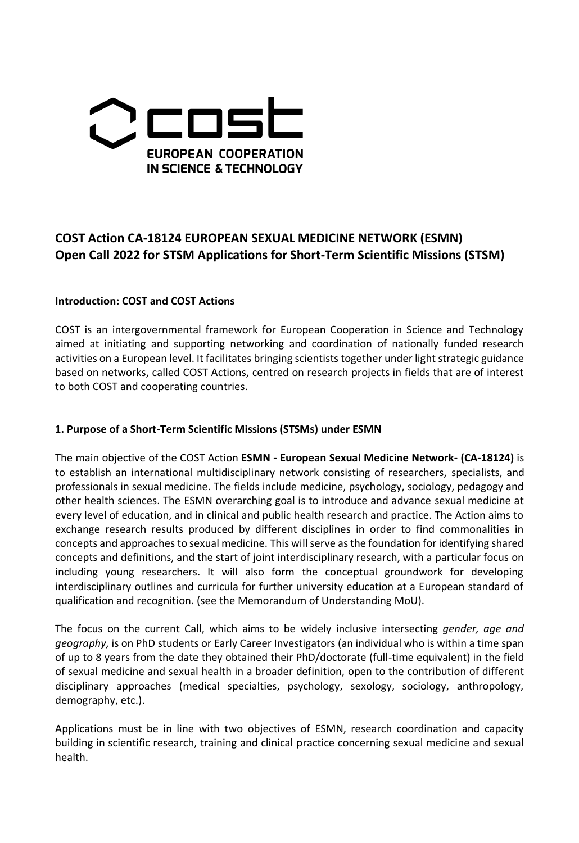

# **COST Action CA-18124 EUROPEAN SEXUAL MEDICINE NETWORK (ESMN) Open Call 2022 for STSM Applications for Short-Term Scientific Missions (STSM)**

## **Introduction: COST and COST Actions**

COST is an intergovernmental framework for European Cooperation in Science and Technology aimed at initiating and supporting networking and coordination of nationally funded research activities on a European level. It facilitates bringing scientists together under light strategic guidance based on networks, called COST Actions, centred on research projects in fields that are of interest to both COST and cooperating countries.

#### **1. Purpose of a Short-Term Scientific Missions (STSMs) under ESMN**

The main objective of the COST Action **ESMN - European Sexual Medicine Network- (CA-18124)** is to establish an international multidisciplinary network consisting of researchers, specialists, and professionals in sexual medicine. The fields include medicine, psychology, sociology, pedagogy and other health sciences. The ESMN overarching goal is to introduce and advance sexual medicine at every level of education, and in clinical and public health research and practice. The Action aims to exchange research results produced by different disciplines in order to find commonalities in concepts and approaches to sexual medicine. This will serve as the foundation for identifying shared concepts and definitions, and the start of joint interdisciplinary research, with a particular focus on including young researchers. It will also form the conceptual groundwork for developing interdisciplinary outlines and curricula for further university education at a European standard of qualification and recognition. (see the Memorandum of Understanding MoU).

The focus on the current Call, which aims to be widely inclusive intersecting *gender, age and geography,* is on PhD students or Early Career Investigators (an individual who is within a time span of up to 8 years from the date they obtained their PhD/doctorate (full-time equivalent) in the field of sexual medicine and sexual health in a broader definition, open to the contribution of different disciplinary approaches (medical specialties, psychology, sexology, sociology, anthropology, demography, etc.).

Applications must be in line with two objectives of ESMN, research coordination and capacity building in scientific research, training and clinical practice concerning sexual medicine and sexual health.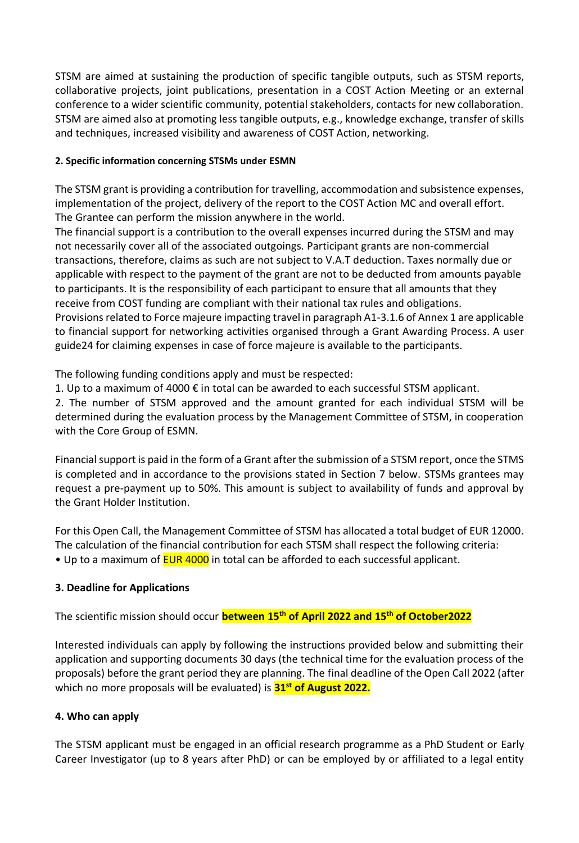STSM are aimed at sustaining the production of specific tangible outputs, such as STSM reports, collaborative projects, joint publications, presentation in a COST Action Meeting or an external conference to a wider scientific community, potential stakeholders, contacts for new collaboration. STSM are aimed also at promoting less tangible outputs, e.g., knowledge exchange, transfer of skills and techniques, increased visibility and awareness of COST Action, networking.

### **2. Specific information concerning STSMs under ESMN**

The STSM grant is providing a contribution for travelling, accommodation and subsistence expenses, implementation of the project, delivery of the report to the COST Action MC and overall effort. The Grantee can perform the mission anywhere in the world.

The financial support is a contribution to the overall expenses incurred during the STSM and may not necessarily cover all of the associated outgoings. Participant grants are non-commercial transactions, therefore, claims as such are not subject to V.A.T deduction. Taxes normally due or applicable with respect to the payment of the grant are not to be deducted from amounts payable to participants. It is the responsibility of each participant to ensure that all amounts that they receive from COST funding are compliant with their national tax rules and obligations. Provisions related to Force majeure impacting travel in paragraph A1-3.1.6 of Annex 1 are applicable to financial support for networking activities organised through a Grant Awarding Process. A user guide24 for claiming expenses in case of force majeure is available to the participants.

The following funding conditions apply and must be respected:

1. Up to a maximum of 4000 € in total can be awarded to each successful STSM applicant.

2. The number of STSM approved and the amount granted for each individual STSM will be determined during the evaluation process by the Management Committee of STSM, in cooperation with the Core Group of ESMN.

Financial support is paid in the form of a Grant after the submission of a STSM report, once the STMS is completed and in accordance to the provisions stated in Section 7 below. STSMs grantees may request a pre-payment up to 50%. This amount is subject to availability of funds and approval by the Grant Holder Institution.

For this Open Call, the Management Committee of STSM has allocated a total budget of EUR 12000. The calculation of the financial contribution for each STSM shall respect the following criteria: • Up to a maximum of **EUR 4000** in total can be afforded to each successful applicant.

# **3. Deadline for Applications**

The scientific mission should occur **between 15th of April 2022 and 15th of October2022**

Interested individuals can apply by following the instructions provided below and submitting their application and supporting documents 30 days (the technical time for the evaluation process of the proposals) before the grant period they are planning. The final deadline of the Open Call 2022 (after which no more proposals will be evaluated) is **31 st of August 2022.**

#### **4. Who can apply**

The STSM applicant must be engaged in an official research programme as a PhD Student or Early Career Investigator (up to 8 years after PhD) or can be employed by or affiliated to a legal entity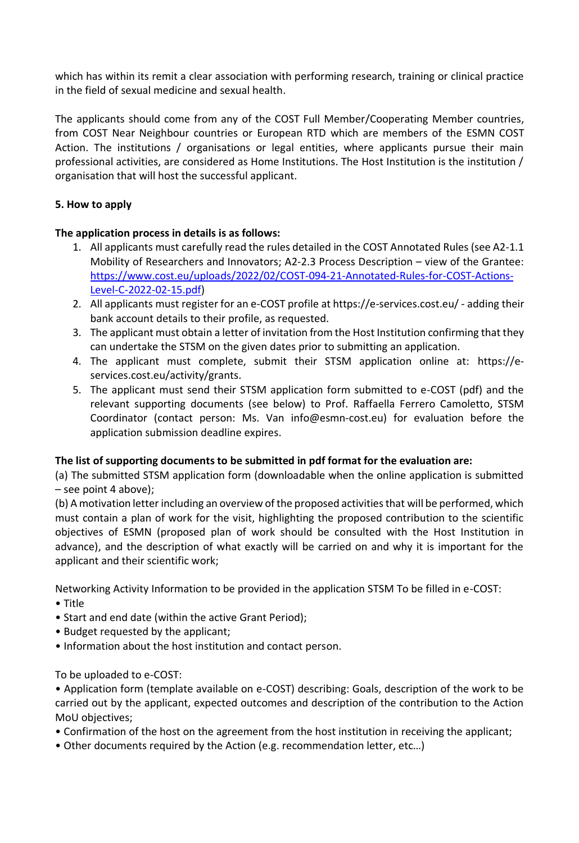which has within its remit a clear association with performing research, training or clinical practice in the field of sexual medicine and sexual health.

The applicants should come from any of the COST Full Member/Cooperating Member countries, from COST Near Neighbour countries or European RTD which are members of the ESMN COST Action. The institutions / organisations or legal entities, where applicants pursue their main professional activities, are considered as Home Institutions. The Host Institution is the institution / organisation that will host the successful applicant.

# **5. How to apply**

## **The application process in details is as follows:**

- 1. All applicants must carefully read the rules detailed in the COST Annotated Rules (see A2-1.1 Mobility of Researchers and Innovators; A2-2.3 Process Description – view of the Grantee: [https://www.cost.eu/uploads/2022/02/COST-094-21-Annotated-Rules-for-COST-Actions-](https://www.cost.eu/uploads/2022/02/COST-094-21-Annotated-Rules-for-COST-Actions-Level-C-2022-02-15.pdf)[Level-C-2022-02-15.pdf\)](https://www.cost.eu/uploads/2022/02/COST-094-21-Annotated-Rules-for-COST-Actions-Level-C-2022-02-15.pdf)
- 2. All applicants must register for an e-COST profile at https://e-services.cost.eu/ adding their bank account details to their profile, as requested.
- 3. The applicant must obtain a letter of invitation from the Host Institution confirming that they can undertake the STSM on the given dates prior to submitting an application.
- 4. The applicant must complete, submit their STSM application online at: https://eservices.cost.eu/activity/grants.
- 5. The applicant must send their STSM application form submitted to e-COST (pdf) and the relevant supporting documents (see below) to Prof. Raffaella Ferrero Camoletto, STSM Coordinator (contact person: Ms. Van info@esmn-cost.eu) for evaluation before the application submission deadline expires.

#### **The list of supporting documents to be submitted in pdf format for the evaluation are:**

(a) The submitted STSM application form (downloadable when the online application is submitted – see point 4 above);

(b) A motivation letter including an overview of the proposed activities that will be performed, which must contain a plan of work for the visit, highlighting the proposed contribution to the scientific objectives of ESMN (proposed plan of work should be consulted with the Host Institution in advance), and the description of what exactly will be carried on and why it is important for the applicant and their scientific work;

Networking Activity Information to be provided in the application STSM To be filled in e-COST:

- Title
- Start and end date (within the active Grant Period);
- Budget requested by the applicant;
- Information about the host institution and contact person.

To be uploaded to e-COST:

• Application form (template available on e-COST) describing: Goals, description of the work to be carried out by the applicant, expected outcomes and description of the contribution to the Action MoU objectives;

- Confirmation of the host on the agreement from the host institution in receiving the applicant;
- Other documents required by the Action (e.g. recommendation letter, etc…)